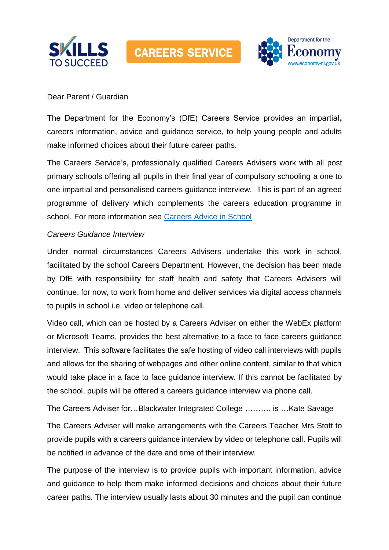



## Dear Parent / Guardian

The Department for the Economy's (DfE) Careers Service provides an impartial**,**  careers information, advice and guidance service, to help young people and adults make informed choices about their future career paths.

The Careers Service's, professionally qualified Careers Advisers work with all post primary schools offering all pupils in their final year of compulsory schooling a one to one impartial and personalised careers guidance interview. This is part of an agreed programme of delivery which complements the careers education programme in school. For more information see [Careers Advice in School](https://www.nidirect.gov.uk/articles/careers-advice-school)

## *Careers Guidance Interview*

Under normal circumstances Careers Advisers undertake this work in school, facilitated by the school Careers Department. However, the decision has been made by DfE with responsibility for staff health and safety that Careers Advisers will continue, for now, to work from home and deliver services via digital access channels to pupils in school i.e. video or telephone call.

Video call, which can be hosted by a Careers Adviser on either the WebEx platform or Microsoft Teams, provides the best alternative to a face to face careers guidance interview. This software facilitates the safe hosting of video call interviews with pupils and allows for the sharing of webpages and other online content, similar to that which would take place in a face to face guidance interview. If this cannot be facilitated by the school, pupils will be offered a careers guidance interview via phone call.

The Careers Adviser for…Blackwater Integrated College ………. is …Kate Savage

The Careers Adviser will make arrangements with the Careers Teacher Mrs Stott to provide pupils with a careers guidance interview by video or telephone call. Pupils will be notified in advance of the date and time of their interview.

The purpose of the interview is to provide pupils with important information, advice and guidance to help them make informed decisions and choices about their future career paths. The interview usually lasts about 30 minutes and the pupil can continue